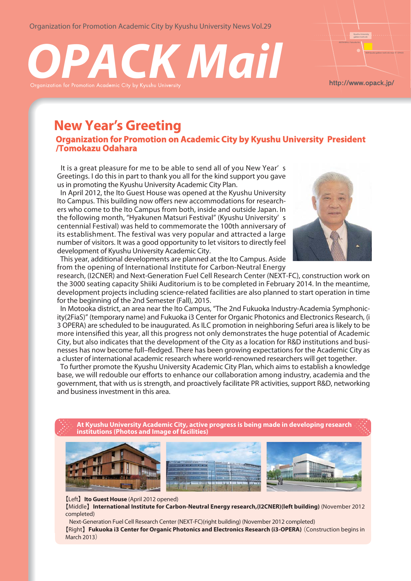Organization for Promotion Academic City by Kyushu University News Vol.29





http://www.opack.jp/

# **New Year' s Greeting**

**Organization for Promotion on Academic City by Kyushu University President /Tomokazu Odahara**

 It is a great pleasure for me to be able to send all of you New Year' s Greetings. I do this in part to thank you all for the kind support you gave us in promoting the Kyushu University Academic City Plan.

 In April 2012, the Ito Guest House was opened at the Kyushu University Ito Campus. This building now offers new accommodations for researchers who come to the Ito Campus from both, inside and outside Japan. In the following month, "Hyakunen Matsuri Festival" (Kyushu University' s centennial Festival) was held to commemorate the 100th anniversary of its establishment. The festival was very popular and attracted a large number of visitors. It was a good opportunity to let visitors to directly feel development of Kyushu University Academic City.



 This year, additional developments are planned at the Ito Campus. Aside from the opening of International Institute for Carbon-Neutral Energy

research, (I2CNER) and Next-Generation Fuel Cell Research Center (NEXT-FC), construction work on the 3000 seating capacity Shiiki Auditorium is to be completed in February 2014. In the meantime, development projects including science-related facilities are also planned to start operation in time for the beginning of the 2nd Semester (Fall), 2015.

 In Motooka district, an area near the Ito Campus, "The 2nd Fukuoka Industry-Academia Symphonicity(2FiaS)" (temporary name) and Fukuoka i3 Center for Organic Photonics and Electronics Research, (i 3 OPERA) are scheduled to be inaugurated. As ILC promotion in neighboring Sefuri area is likely to be more intensified this year, all this progress not only demonstrates the huge potential of Academic City, but also indicates that the development of the City as a location for R&D institutions and businesses has now become full–fledged. There has been growing expectations for the Academic City as a cluster of international academic research where world-renowned researchers will get together.

 To further promote the Kyushu University Academic City Plan, which aims to establish a knowledge base, we will redouble our efforts to enhance our collaboration among industry, academia and the government, that with us is strength, and proactively facilitate PR activities, support R&D, networking and business investment in this area.

**At Kyushu University Academic City, active progress is being made in developing research institutions (Photos and Image of facilities)**



【Left】**Ito Guest House** (April 2012 opened)

【Middle】**International Institute for Carbon-Neutral Energy research,(I2CNER)(left building)** (November 2012 completed)

 Next-Generation Fuel Cell Research Center (NEXT-FC)(right building) (November 2012 completed) 【Right】**Fukuoka i3 Center for Organic Photonics and Electronics Research (i3-OPERA)** (Construction begins in March 2013)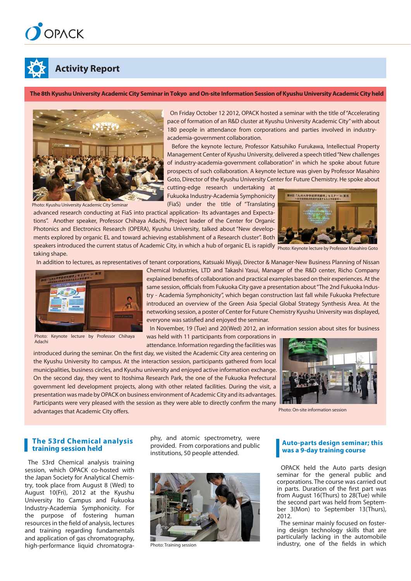



## **Activity Report**

**The 8th Kyushu University Academic City Seminar in Tokyo and On-site Information Session of Kyushu University Academic City held**



Photo: Kyushu University Academic City Seminar

 On Friday October 12 2012, OPACK hosted a seminar with the title of "Accelerating pace of formation of an R&D cluster at Kyushu University Academic City" with about 180 people in attendance from corporations and parties involved in industryacademia-government collaboration.

 Before the keynote lecture, Professor Katsuhiko Furukawa, Intellectual Property Management Center of Kyushu University, delivered a speech titled "New challenges of industry-academia-government collaboration" in which he spoke about future prospects of such collaboration. A keynote lecture was given by Professor Masahiro Goto, Director of the Kyushu University Center for Future Chemistry. He spoke about

cutting-edge research undertaking at Fukuoka Industry-Academia Symphonicity (FiaS) under the title of "Translating

advanced research conducting at FiaS into practical application- Its advantages and Expectations". Another speaker, Professor Chihaya Adachi, Project leader of the Center for Organic Photonics and Electronics Research (OPERA), Kyushu University, talked about "New developments explored by organic EL and toward achieving establishment of a Research cluster". Both speakers introduced the current status of Academic City, in which a hub of organic EL is rapidly photo: Keynote lecture by Professor Masahiro Goto taking shape.



In addition to lectures, as representatives of tenant corporations, Katsuaki Miyaji, Director & Manager-New Business Planning of Nissan



Photo: Keynote lecture by Professor Chihaya Adachi

Chemical Industries, LTD and Takashi Yasui, Manager of the R&D center, Richo Company explained benefits of collaboration and practical examples based on their experiences. At the same session, officials from Fukuoka City gave a presentation about "The 2nd Fukuoka Industry - Academia Symphonicity", which began construction last fall while Fukuoka Prefecture introduced an overview of the Green Asia Special Global Strategy Synthesis Area. At the networking session, a poster of Center for Future Chemistry Kyushu University was displayed, everyone was satisfied and enjoyed the seminar.

In November, 19 (Tue) and 20(Wed) 2012, an information session about sites for business

was held with 11 participants from corporations in attendance. Information regarding the facilities was

introduced during the seminar. On the first day, we visited the Academic City area centering on the Kyushu University Ito campus. At the interaction session, participants gathered from local municipalities, business circles, and Kyushu university and enjoyed active information exchange. On the second day, they went to Itoshima Research Park, the one of the Fukuoka Prefectural government led development projects, along with other related facilities. During the visit, a presentation was made by OPACK on business environment of Academic City and its advantages. Participants were very pleased with the session as they were able to directly confirm the many advantages that Academic City offers.



Photo: On-site information session

#### **The 53rd Chemical analysis training session held**

 The 53rd Chemical analysis training session, which OPACK co-hosted with the Japan Society for Analytical Chemistry, took place from August 8 (Wed) to August 10(Fri), 2012 at the Kyushu University Ito Campus and Fukuoka Industry-Academia Symphonicity. For the purpose of fostering human resources in the field of analysis, lectures and training regarding fundamentals and application of gas chromatography, high-performance liquid chromatography, and atomic spectrometry, were provided. From corporations and public institutions, 50 people attended.



#### **Auto-parts design seminar; this was a 9-day training course**

 OPACK held the Auto parts design seminar for the general public and corporations. The course was carried out in parts. Duration of the first part was from August 16(Thurs) to 28(Tue) while the second part was held from September 3(Mon) to September 13(Thurs), 2012.

 The seminar mainly focused on fostering design technology skills that are particularly lacking in the automobile Photo: Training session **industry, one of the fields in which**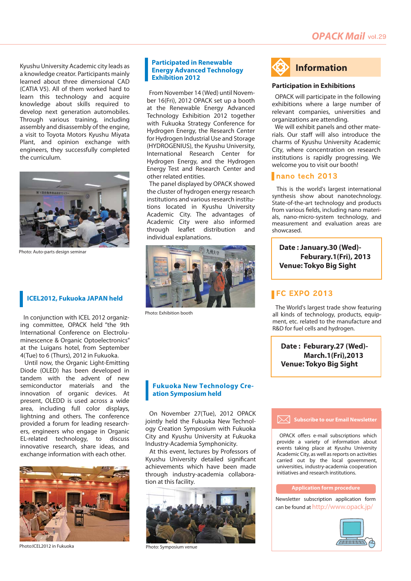Kyushu University Academic city leads as a knowledge creator. Participants mainly learned about three dimensional CAD (CATIA V5). All of them worked hard to learn this technology and acquire knowledge about skills required to develop next generation automobiles. Through various training, including assembly and disassembly of the engine, a visit to Toyota Motors Kyushu Miyata Plant, and opinion exchange with engineers, they successfully completed the curriculum.



Photo: Auto-parts design seminar

## **ICEL2012, Fukuoka JAPAN held**

 In conjunction with ICEL 2012 organizing committee, OPACK held "the 9th International Conference on Electroluminescence & Organic Optoelectronics" at the Luigans hotel, from September 4(Tue) to 6 (Thurs), 2012 in Fukuoka.

 Until now, the Organic Light-Emitting Diode (OLED) has been developed in tandem with the advent of new semiconductor materials and the innovation of organic devices. At present, OLEDD is used across a wide area, including full color displays, lightning and others. The conference provided a forum for leading researchers, engineers who engage in Organic EL-related technology, to discuss innovative research, share ideas, and exchange information with each other.



Photo:ICEL2012 in Fukuoka

#### **Participated in Renewable Energy Advanced Technology Exhibition 2012**

 From November 14 (Wed) until November 16(Fri), 2012 OPACK set up a booth at the Renewable Energy Advanced Technology Exhibition 2012 together with Fukuoka Strategy Conference for Hydrogen Energy, the Research Center for Hydrogen Industrial Use and Storage (HYDROGENIUS), the Kyushu University, International Research Center for Hydrogen Energy, and the Hydrogen Energy Test and Research Center and other related entities.

 The panel displayed by OPACK showed the cluster of hydrogen energy research institutions and various research institutions located in Kyushu University Academic City. The advantages of Academic City were also informed through leaflet distribution and individual explanations.



Photo: Exhibition booth

#### **Fukuoka New Technology Creation Symposium held**

 On November 27(Tue), 2012 OPACK jointly held the Fukuoka New Technology Creation Symposium with Fukuoka City and Kyushu University at Fukuoka Industry-Academia Symphonicity.

 At this event, lectures by Professors of Kyushu University detailed significant achievements which have been made through industry-academia collaboration at this facility.



Photo: Symposium venue



#### **Participation in Exhibitions**

 OPACK will participate in the following exhibitions where a large number of relevant companies, universities and organizations are attending.

 We will exhibit panels and other materials. Our staff will also introduce the charms of Kyushu University Academic City, where concentration on research institutions is rapidly progressing. We welcome you to visit our booth!

#### nano tech 2013

 This is the world's largest international synthesis show about nanotechnology. State-of-the-art technology and products from various fields, including nano materials, nano-micro-system technology, and measurement and evaluation areas are showcased.

**Date : January.30 (Wed)- Venue: Tokyo Big Sight Feburary.1(Fri), 2013**

## **FC EXPO 2013**

 The World's largest trade show featuring all kinds of technology, products, equipment, etc. related to the manufacture and R&D for fuel cells and hydrogen.

**Date : Feburary.27 (Wed)- Venue: Tokyo Big Sight March.1(Fri),2013** 

#### **Subscribe to our Email Newsletter**

 OPACK offers e-mail subscriptions which provide a variety of information about events taking place at Kyushu University Academic City, as well as reports on activities carried out by the local government, universities, industry-academia cooperation initiatives and research institutions.

#### **Application form procedure**

**Newsletter subscription application form** can be found at http://www.opack.jp/

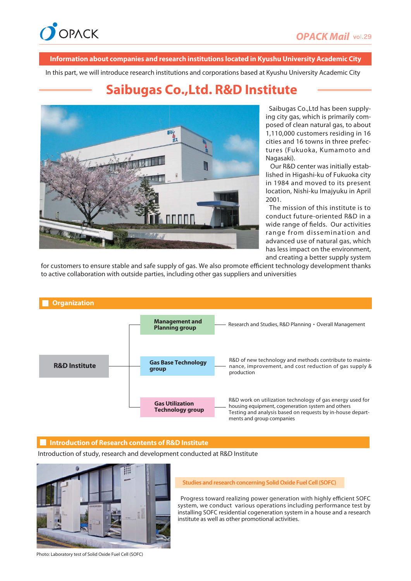

#### **Information about companies and research institutions located in Kyushu University Academic City**

In this part, we will introduce research institutions and corporations based at Kyushu University Academic City

## **Saibugas Co.,Ltd. R&D Institute**



 Saibugas Co.,Ltd has been supplying city gas, which is primarily composed of clean natural gas, to about 1,110,000 customers residing in 16 cities and 16 towns in three prefectures (Fukuoka, Kumamoto and Nagasaki).

 Our R&D center was initially established in Higashi-ku of Fukuoka city in 1984 and moved to its present location, Nishi-ku Imajyuku in April 2001.

 The mission of this institute is to conduct future-oriented R&D in a wide range of fields. Our activities range from dissemination and advanced use of natural gas, which has less impact on the environment, and creating a better supply system

for customers to ensure stable and safe supply of gas. We also promote efficient technology development thanks to active collaboration with outside parties, including other gas suppliers and universities



#### **Introduction of Research contents of R&D Institute**

Introduction of study, research and development conducted at R&D Institute



#### **Studies and research concerning Solid Oxide Fuel Cell (SOFC)**

 Progress toward realizing power generation with highly efficient SOFC system, we conduct various operations including performance test by installing SOFC residential cogeneration system in a house and a research institute as well as other promotional activities.

Photo: Laboratory test of Solid Oxide Fuel Cell (SOFC)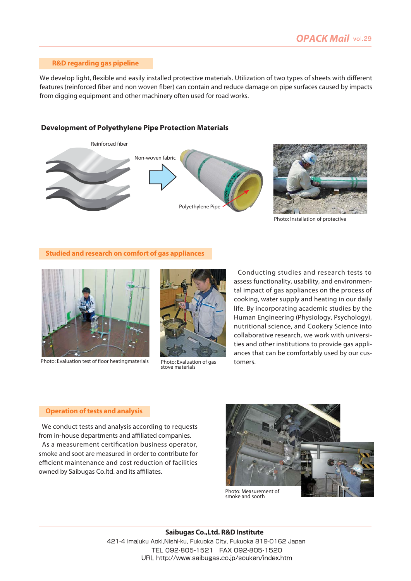#### **R&D regarding gas pipeline**

We develop light, flexible and easily installed protective materials. Utilization of two types of sheets with different features (reinforced fiber and non woven fiber) can contain and reduce damage on pipe surfaces caused by impacts from digging equipment and other machinery often used for road works.

### **Development of Polyethylene Pipe Protection Materials**





Photo: Installation of protective

#### **Studied and research on comfort of gas appliances**



Photo: Evaluation test of floor heatingmaterials photo: Evaluation of gas tomers.



stove materials

 Conducting studies and research tests to assess functionality, usability, and environmental impact of gas appliances on the process of cooking, water supply and heating in our daily life. By incorporating academic studies by the Human Engineering (Physiology, Psychology), nutritional science, and Cookery Science into collaborative research, we work with universities and other institutions to provide gas appliances that can be comfortably used by our cus-

#### **Operation of tests and analysis**

 We conduct tests and analysis according to requests from in-house departments and affiliated companies.

 As a measurement certification business operator, smoke and soot are measured in order to contribute for efficient maintenance and cost reduction of facilities owned by Saibugas Co.ltd. and its affiliates.



smoke and sooth

**Saibugas Co.,Ltd. R&D Institute**  421-4 Imajuku Aoki,Nishi-ku, Fukuoka City, Fukuoka 819-0162 Japan TEL 092-805-1521 FAX 092-805-1520 URL http://www.saibugas.co.jp/souken/index.htm